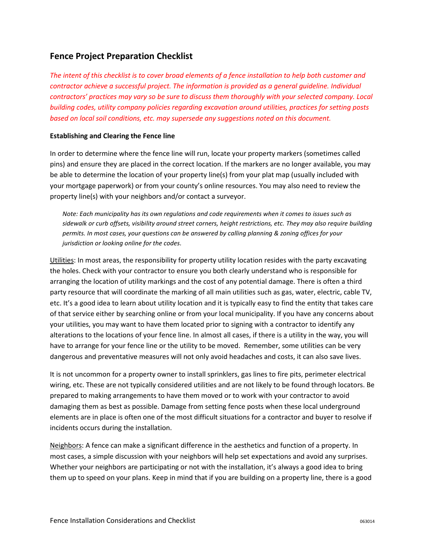## **Fence Project Preparation Checklist**

*The intent of this checklist is to cover broad elements of a fence installation to help both customer and contractor achieve a successful project. The information is provided as a general guideline. Individual contractors' practices may vary so be sure to discuss them thoroughly with your selected company. Local building codes, utility company policies regarding excavation around utilities, practices for setting posts based on local soil conditions, etc. may supersede any suggestions noted on this document.*

## **Establishing and Clearing the Fence line**

In order to determine where the fence line will run, locate your property markers (sometimes called pins) and ensure they are placed in the correct location. If the markers are no longer available, you may be able to determine the location of your property line(s) from your plat map (usually included with your mortgage paperwork) or from your county's online resources. You may also need to review the property line(s) with your neighbors and/or contact a surveyor.

*Note: Each municipality has its own regulations and code requirements when it comes to issues such as sidewalk or curb offsets, visibility around street corners, height restrictions, etc. They may also require building permits. In most cases, your questions can be answered by calling planning & zoning offices for your jurisdiction or looking online for the codes.*

Utilities: In most areas, the responsibility for property utility location resides with the party excavating the holes. Check with your contractor to ensure you both clearly understand who is responsible for arranging the location of utility markings and the cost of any potential damage. There is often a third party resource that will coordinate the marking of all main utilities such as gas, water, electric, cable TV, etc. It's a good idea to learn about utility location and it is typically easy to find the entity that takes care of that service either by searching online or from your local municipality. If you have any concerns about your utilities, you may want to have them located prior to signing with a contractor to identify any alterations to the locations of your fence line. In almost all cases, if there is a utility in the way, you will have to arrange for your fence line or the utility to be moved. Remember, some utilities can be very dangerous and preventative measures will not only avoid headaches and costs, it can also save lives.

It is not uncommon for a property owner to install sprinklers, gas lines to fire pits, perimeter electrical wiring, etc. These are not typically considered utilities and are not likely to be found through locators. Be prepared to making arrangements to have them moved or to work with your contractor to avoid damaging them as best as possible. Damage from setting fence posts when these local underground elements are in place is often one of the most difficult situations for a contractor and buyer to resolve if incidents occurs during the installation.

Neighbors: A fence can make a significant difference in the aesthetics and function of a property. In most cases, a simple discussion with your neighbors will help set expectations and avoid any surprises. Whether your neighbors are participating or not with the installation, it's always a good idea to bring them up to speed on your plans. Keep in mind that if you are building on a property line, there is a good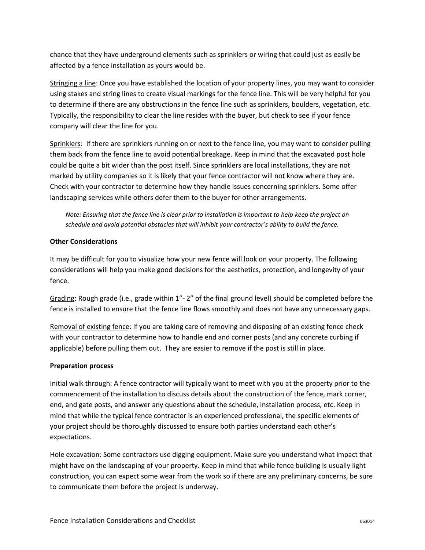chance that they have underground elements such as sprinklers or wiring that could just as easily be affected by a fence installation as yours would be.

Stringing a line: Once you have established the location of your property lines, you may want to consider using stakes and string lines to create visual markings for the fence line. This will be very helpful for you to determine if there are any obstructions in the fence line such as sprinklers, boulders, vegetation, etc. Typically, the responsibility to clear the line resides with the buyer, but check to see if your fence company will clear the line for you.

Sprinklers: If there are sprinklers running on or next to the fence line, you may want to consider pulling them back from the fence line to avoid potential breakage. Keep in mind that the excavated post hole could be quite a bit wider than the post itself. Since sprinklers are local installations, they are not marked by utility companies so it is likely that your fence contractor will not know where they are. Check with your contractor to determine how they handle issues concerning sprinklers. Some offer landscaping services while others defer them to the buyer for other arrangements.

*Note: Ensuring that the fence line is clear prior to installation is important to help keep the project on schedule and avoid potential obstacles that will inhibit your contractor's ability to build the fence.*

## **Other Considerations**

It may be difficult for you to visualize how your new fence will look on your property. The following considerations will help you make good decisions for the aesthetics, protection, and longevity of your fence.

Grading: Rough grade (i.e., grade within 1"- 2" of the final ground level) should be completed before the fence is installed to ensure that the fence line flows smoothly and does not have any unnecessary gaps.

Removal of existing fence: If you are taking care of removing and disposing of an existing fence check with your contractor to determine how to handle end and corner posts (and any concrete curbing if applicable) before pulling them out. They are easier to remove if the post is still in place.

## **Preparation process**

Initial walk through: A fence contractor will typically want to meet with you at the property prior to the commencement of the installation to discuss details about the construction of the fence, mark corner, end, and gate posts, and answer any questions about the schedule, installation process, etc. Keep in mind that while the typical fence contractor is an experienced professional, the specific elements of your project should be thoroughly discussed to ensure both parties understand each other's expectations.

Hole excavation: Some contractors use digging equipment. Make sure you understand what impact that might have on the landscaping of your property. Keep in mind that while fence building is usually light construction, you can expect some wear from the work so if there are any preliminary concerns, be sure to communicate them before the project is underway.